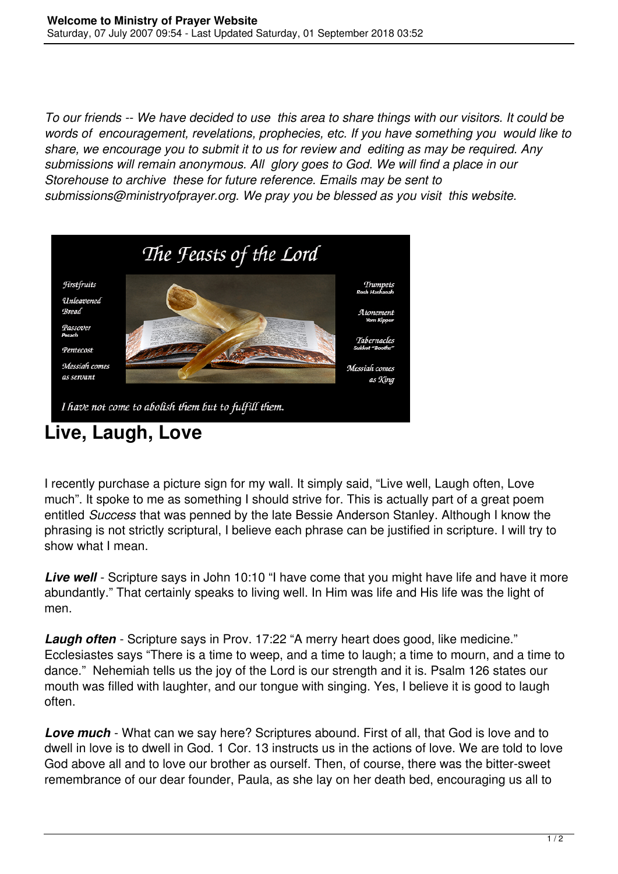*To our friends -- We have decided to use this area to share things with our visitors. It could be words of encouragement, revelations, prophecies, etc. If you have something you would like to share, we encourage you to submit it to us for review and editing as may be required. Any submissions will remain anonymous. All glory goes to God. We will find a place in our Storehouse to archive these for future reference. Emails may be sent to submissions@ministryofprayer.org. We pray you be blessed as you visit this website.*



## **Live, Laugh, Love**

I recently purchase a picture sign for my wall. It simply said, "Live well, Laugh often, Love much". It spoke to me as something I should strive for. This is actually part of a great poem entitled *Success* that was penned by the late Bessie Anderson Stanley. Although I know the phrasing is not strictly scriptural, I believe each phrase can be justified in scripture. I will try to show what I mean.

**Live well** - Scripture says in John 10:10 "I have come that you might have life and have it more abundantly." That certainly speaks to living well. In Him was life and His life was the light of men.

**Laugh often** - Scripture says in Prov. 17:22 "A merry heart does good, like medicine." Ecclesiastes says "There is a time to weep, and a time to laugh; a time to mourn, and a time to dance." Nehemiah tells us the joy of the Lord is our strength and it is. Psalm 126 states our mouth was filled with laughter, and our tongue with singing. Yes, I believe it is good to laugh often.

*Love much* - What can we say here? Scriptures abound. First of all, that God is love and to dwell in love is to dwell in God. 1 Cor. 13 instructs us in the actions of love. We are told to love God above all and to love our brother as ourself. Then, of course, there was the bitter-sweet remembrance of our dear founder, Paula, as she lay on her death bed, encouraging us all to